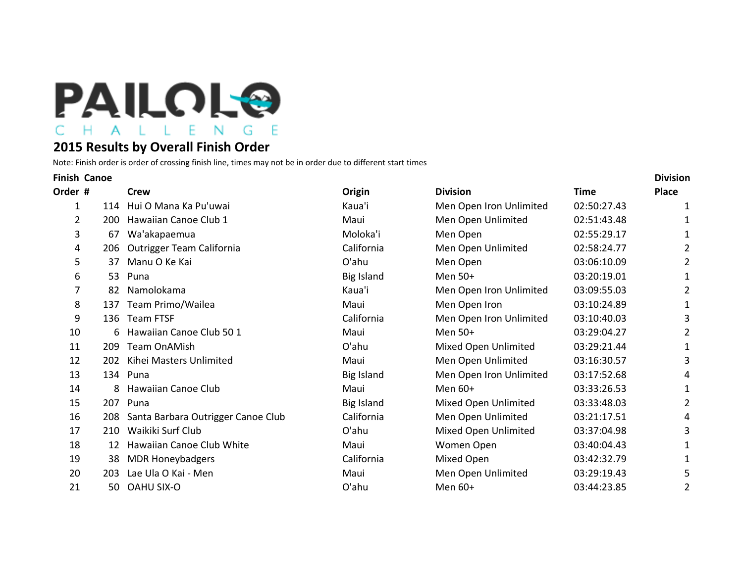

## **2015 Results by Overall Finish Order**

Note: Finish order is order of crossing finish line, times may not be in order due to different start times

| <b>Finish Canoe</b>   |                                    |                                       |                         |             | <b>Division</b> |  |
|-----------------------|------------------------------------|---------------------------------------|-------------------------|-------------|-----------------|--|
| Order #               | <b>Crew</b>                        | Origin                                | <b>Division</b>         | <b>Time</b> | <b>Place</b>    |  |
| 1                     | Hui O Mana Ka Pu'uwai              | Kaua'i                                | Men Open Iron Unlimited | 02:50:27.43 |                 |  |
| $\overline{2}$<br>200 | Hawaiian Canoe Club 1              | Maui                                  | Men Open Unlimited      | 02:51:43.48 |                 |  |
| 3<br>67               | Wa'akapaemua                       | Moloka'i                              | Men Open                | 02:55:29.17 | 1               |  |
| 206<br>4              | <b>Outrigger Team California</b>   | California                            | Men Open Unlimited      | 02:58:24.77 | 2               |  |
| 5<br>37               | Manu O Ke Kai                      | O'ahu                                 | Men Open                | 03:06:10.09 | 2               |  |
| 6<br>53               | Puna                               | <b>Big Island</b>                     | Men 50+                 | 03:20:19.01 | 1               |  |
| 7<br>82               | Namolokama                         | Kaua'i                                | Men Open Iron Unlimited | 03:09:55.03 | 2               |  |
| 8<br>137              | Team Primo/Wailea                  | Maui                                  | Men Open Iron           | 03:10:24.89 | 1               |  |
| 9                     | <b>Team FTSF</b>                   | California                            | Men Open Iron Unlimited | 03:10:40.03 | 3               |  |
| 10<br>6               | Hawaiian Canoe Club 50 1           | Maui                                  | Men 50+                 | 03:29:04.27 | 2               |  |
| 11<br>209             | <b>Team OnAMish</b>                | O'ahu                                 | Mixed Open Unlimited    | 03:29:21.44 | 1               |  |
| 12<br>202             | Kihei Masters Unlimited            | Maui                                  | Men Open Unlimited      | 03:16:30.57 | 3               |  |
| 13                    | Puna                               | Big Island                            | Men Open Iron Unlimited | 03:17:52.68 | 4               |  |
| 14<br>8               | Hawaiian Canoe Club                | Maui                                  | Men $60+$               | 03:33:26.53 | 1               |  |
| 15                    | Puna                               | <b>Big Island</b>                     | Mixed Open Unlimited    | 03:33:48.03 | 2               |  |
| 16                    | Santa Barbara Outrigger Canoe Club | California                            | Men Open Unlimited      | 03:21:17.51 | 4               |  |
| 17<br>210             | Waikiki Surf Club                  | O'ahu                                 | Mixed Open Unlimited    | 03:37:04.98 | 3               |  |
| 18<br>12              | Hawaiian Canoe Club White          | Maui                                  | Women Open              | 03:40:04.43 | 1               |  |
| 19<br>38              | <b>MDR Honeybadgers</b>            | California                            | Mixed Open              | 03:42:32.79 | 1               |  |
| 20<br>203             | Lae Ula O Kai - Men                | Maui                                  | Men Open Unlimited      | 03:29:19.43 | 5               |  |
| 21                    | <b>OAHU SIX-O</b>                  | O'ahu                                 | Men 60+                 | 03:44:23.85 | 2               |  |
|                       |                                    | 114<br>136<br>134<br>207<br>208<br>50 |                         |             |                 |  |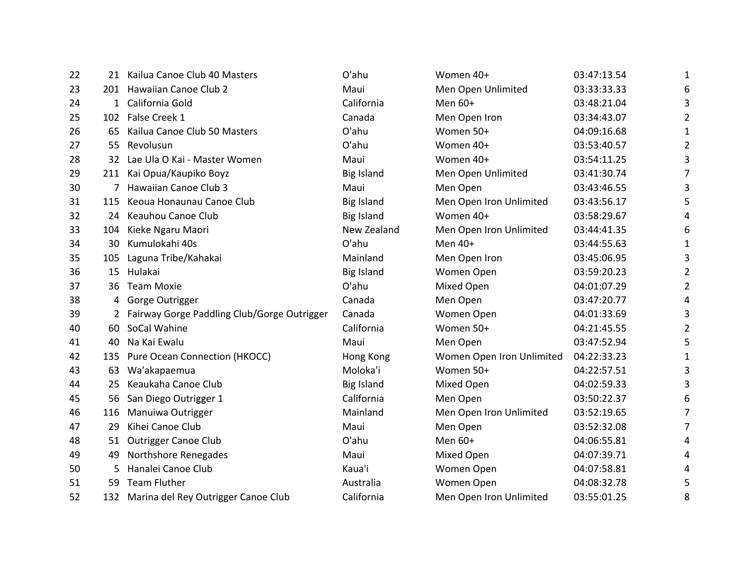| 22 |     | 21 Kailua Canoe Club 40 Masters               | O'ahu             | Women 40+                 | 03:47:13.54 | 1              |
|----|-----|-----------------------------------------------|-------------------|---------------------------|-------------|----------------|
| 23 |     | 201 Hawaiian Canoe Club 2                     | Maui              | Men Open Unlimited        | 03:33:33.33 | 6              |
| 24 |     | 1 California Gold                             | California        | Men 60+                   | 03:48:21.04 | 3              |
| 25 |     | 102 False Creek 1                             | Canada            | Men Open Iron             | 03:34:43.07 | $\overline{2}$ |
| 26 |     | 65 Kailua Canoe Club 50 Masters               | O'ahu             | Women 50+                 | 04:09:16.68 | 1              |
| 27 |     | 55 Revolusun                                  | O'ahu             | Women 40+                 | 03:53:40.57 | $\overline{2}$ |
| 28 |     | 32 Lae Ula O Kai - Master Women               | Maui              | Women 40+                 | 03:54:11.25 | 3              |
| 29 |     | 211 Kai Opua/Kaupiko Boyz                     | <b>Big Island</b> | Men Open Unlimited        | 03:41:30.74 | 7              |
| 30 |     | 7 Hawaiian Canoe Club 3                       | Maui              | Men Open                  | 03:43:46.55 | 3              |
| 31 | 115 | Keoua Honaunau Canoe Club                     | <b>Big Island</b> | Men Open Iron Unlimited   | 03:43:56.17 | 5              |
| 32 |     | 24 Keauhou Canoe Club                         | <b>Big Island</b> | Women 40+                 | 03:58:29.67 | 4              |
| 33 | 104 | Kieke Ngaru Maori                             | New Zealand       | Men Open Iron Unlimited   | 03:44:41.35 | 6              |
| 34 | 30. | Kumulokahi 40s                                | O'ahu             | Men 40+                   | 03:44:55.63 | 1              |
| 35 |     | 105 Laguna Tribe/Kahakai                      | Mainland          | Men Open Iron             | 03:45:06.95 | 3              |
| 36 |     | 15 Hulakai                                    | <b>Big Island</b> | Women Open                | 03:59:20.23 | $\overline{2}$ |
| 37 |     | 36 Team Moxie                                 | O'ahu             | Mixed Open                | 04:01:07.29 | 2              |
| 38 |     | 4 Gorge Outrigger                             | Canada            | Men Open                  | 03:47:20.77 | 4              |
| 39 |     | 2 Fairway Gorge Paddling Club/Gorge Outrigger | Canada            | Women Open                | 04:01:33.69 | 3              |
| 40 | 60  | SoCal Wahine                                  | California        | Women 50+                 | 04:21:45.55 | $\overline{2}$ |
| 41 | 40  | Na Kai Ewalu                                  | Maui              | Men Open                  | 03:47:52.94 | 5              |
| 42 |     | 135 Pure Ocean Connection (HKOCC)             | Hong Kong         | Women Open Iron Unlimited | 04:22:33.23 | 1              |
| 43 | 63  | Wa'akapaemua                                  | Moloka'i          | Women 50+                 | 04:22:57.51 | 3              |
| 44 | 25  | Keaukaha Canoe Club                           | <b>Big Island</b> | Mixed Open                | 04:02:59.33 | 3              |
| 45 | 56  | San Diego Outrigger 1                         | California        | Men Open                  | 03:50:22.37 | 6              |
| 46 | 116 | Manuiwa Outrigger                             | Mainland          | Men Open Iron Unlimited   | 03:52:19.65 | 7              |
| 47 | 29  | Kihei Canoe Club                              | Maui              | Men Open                  | 03:52:32.08 | 7              |
| 48 | 51  | <b>Outrigger Canoe Club</b>                   | O'ahu             | Men 60+                   | 04:06:55.81 | 4              |
| 49 | 49  | Northshore Renegades                          | Maui              | Mixed Open                | 04:07:39.71 | 4              |
| 50 | 5.  | Hanalei Canoe Club                            | Kaua'i            | Women Open                | 04:07:58.81 | 4              |
| 51 | 59  | <b>Team Fluther</b>                           | Australia         | Women Open                | 04:08:32.78 | 5              |
| 52 |     | 132 Marina del Rey Outrigger Canoe Club       | California        | Men Open Iron Unlimited   | 03:55:01.25 | 8              |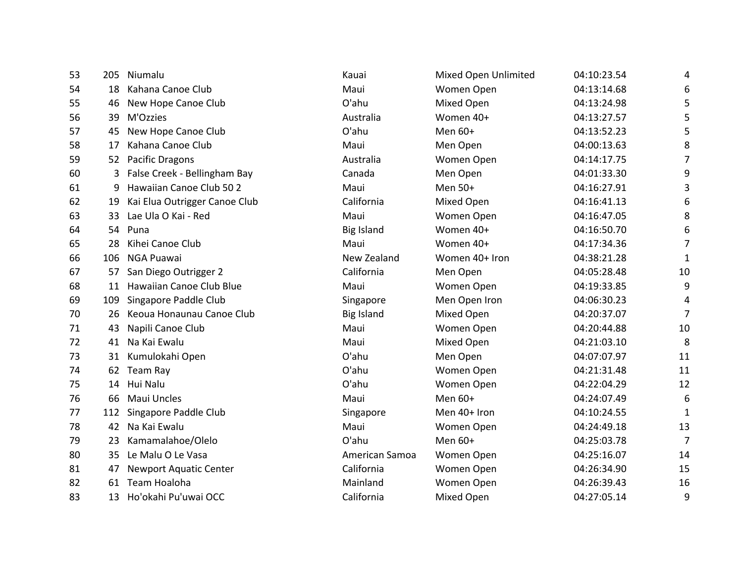| 53 | 205 | Niumalu                       | Kauai             | Mixed Open Unlimited | 04:10:23.54 | 4            |
|----|-----|-------------------------------|-------------------|----------------------|-------------|--------------|
| 54 | 18  | Kahana Canoe Club             | Maui              | Women Open           | 04:13:14.68 | 6            |
| 55 | 46  | New Hope Canoe Club           | O'ahu             | Mixed Open           | 04:13:24.98 | 5            |
| 56 | 39  | M'Ozzies                      | Australia         | Women 40+            | 04:13:27.57 | 5            |
| 57 | 45  | New Hope Canoe Club           | O'ahu             | Men 60+              | 04:13:52.23 | 5            |
| 58 | 17  | Kahana Canoe Club             | Maui              | Men Open             | 04:00:13.63 | 8            |
| 59 | 52  | <b>Pacific Dragons</b>        | Australia         | Women Open           | 04:14:17.75 | 7            |
| 60 | 3   | False Creek - Bellingham Bay  | Canada            | Men Open             | 04:01:33.30 | 9            |
| 61 | 9   | Hawaiian Canoe Club 50 2      | Maui              | Men 50+              | 04:16:27.91 | 3            |
| 62 | 19  | Kai Elua Outrigger Canoe Club | California        | Mixed Open           | 04:16:41.13 | 6            |
| 63 | 33  | Lae Ula O Kai - Red           | Maui              | Women Open           | 04:16:47.05 | 8            |
| 64 | 54  | Puna                          | <b>Big Island</b> | Women 40+            | 04:16:50.70 | 6            |
| 65 | 28  | Kihei Canoe Club              | Maui              | Women 40+            | 04:17:34.36 | 7            |
| 66 | 106 | NGA Puawai                    | New Zealand       | Women 40+ Iron       | 04:38:21.28 | $\mathbf{1}$ |
| 67 | 57  | San Diego Outrigger 2         | California        | Men Open             | 04:05:28.48 | 10           |
| 68 | 11  | Hawaiian Canoe Club Blue      | Maui              | Women Open           | 04:19:33.85 | 9            |
| 69 | 109 | Singapore Paddle Club         | Singapore         | Men Open Iron        | 04:06:30.23 | 4            |
| 70 | 26  | Keoua Honaunau Canoe Club     | <b>Big Island</b> | Mixed Open           | 04:20:37.07 | 7            |
| 71 | 43  | Napili Canoe Club             | Maui              | Women Open           | 04:20:44.88 | 10           |
| 72 | 41  | Na Kai Ewalu                  | Maui              | Mixed Open           | 04:21:03.10 | 8            |
| 73 | 31  | Kumulokahi Open               | O'ahu             | Men Open             | 04:07:07.97 | 11           |
| 74 | 62  | Team Ray                      | O'ahu             | Women Open           | 04:21:31.48 | 11           |
| 75 | 14  | Hui Nalu                      | O'ahu             | Women Open           | 04:22:04.29 | 12           |
| 76 | 66  | Maui Uncles                   | Maui              | Men 60+              | 04:24:07.49 | 6            |
| 77 | 112 | Singapore Paddle Club         | Singapore         | Men 40+ Iron         | 04:10:24.55 | $\mathbf{1}$ |
| 78 | 42  | Na Kai Ewalu                  | Maui              | Women Open           | 04:24:49.18 | 13           |
| 79 | 23  | Kamamalahoe/Olelo             | O'ahu             | Men 60+              | 04:25:03.78 | 7            |
| 80 | 35  | Le Malu O Le Vasa             | American Samoa    | Women Open           | 04:25:16.07 | 14           |
| 81 | 47  | <b>Newport Aquatic Center</b> | California        | Women Open           | 04:26:34.90 | 15           |
| 82 | 61  | Team Hoaloha                  | Mainland          | Women Open           | 04:26:39.43 | 16           |
| 83 | 13  | Ho'okahi Pu'uwai OCC          | California        | <b>Mixed Open</b>    | 04:27:05.14 | 9            |